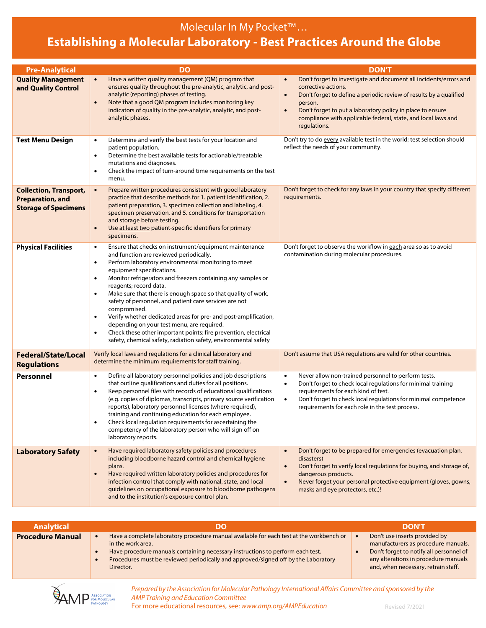## Molecular In My Pocket™…

## **Establishing a Molecular Laboratory - Best Practices Around the Globe**

| <b>Pre-Analytical</b>                                                                   | DO                                                                                                                                                                                                                                                                                                                                                                                                                                                                                                                                                                                                                                                                                                                                                              | <b>DON'T</b>                                                                                                                                                                                                                                                                                                                                                    |
|-----------------------------------------------------------------------------------------|-----------------------------------------------------------------------------------------------------------------------------------------------------------------------------------------------------------------------------------------------------------------------------------------------------------------------------------------------------------------------------------------------------------------------------------------------------------------------------------------------------------------------------------------------------------------------------------------------------------------------------------------------------------------------------------------------------------------------------------------------------------------|-----------------------------------------------------------------------------------------------------------------------------------------------------------------------------------------------------------------------------------------------------------------------------------------------------------------------------------------------------------------|
| <b>Quality Management</b><br>and Quality Control                                        | Have a written quality management (QM) program that<br>$\bullet$<br>ensures quality throughout the pre-analytic, analytic, and post-<br>analytic (reporting) phases of testing.<br>Note that a good QM program includes monitoring key<br>$\bullet$<br>indicators of quality in the pre-analytic, analytic, and post-<br>analytic phases.                                                                                                                                                                                                                                                                                                                                                                                                                       | Don't forget to investigate and document all incidents/errors and<br>$\bullet$<br>corrective actions.<br>Don't forget to define a periodic review of results by a qualified<br>$\bullet$<br>person.<br>Don't forget to put a laboratory policy in place to ensure<br>$\bullet$<br>compliance with applicable federal, state, and local laws and<br>regulations. |
| <b>Test Menu Design</b>                                                                 | Determine and verify the best tests for your location and<br>$\bullet$<br>patient population.<br>Determine the best available tests for actionable/treatable<br>$\bullet$<br>mutations and diagnoses.<br>Check the impact of turn-around time requirements on the test<br>$\bullet$<br>menu.                                                                                                                                                                                                                                                                                                                                                                                                                                                                    | Don't try to do every available test in the world; test selection should<br>reflect the needs of your community.                                                                                                                                                                                                                                                |
| <b>Collection, Transport,</b><br><b>Preparation, and</b><br><b>Storage of Specimens</b> | Prepare written procedures consistent with good laboratory<br>$\bullet$<br>practice that describe methods for 1. patient identification, 2.<br>patient preparation, 3. specimen collection and labeling, 4.<br>specimen preservation, and 5. conditions for transportation<br>and storage before testing.<br>Use at least two patient-specific identifiers for primary<br>$\bullet$<br>specimens.                                                                                                                                                                                                                                                                                                                                                               | Don't forget to check for any laws in your country that specify different<br>requirements.                                                                                                                                                                                                                                                                      |
| <b>Physical Facilities</b>                                                              | Ensure that checks on instrument/equipment maintenance<br>$\bullet$<br>and function are reviewed periodically.<br>Perform laboratory environmental monitoring to meet<br>$\bullet$<br>equipment specifications.<br>Monitor refrigerators and freezers containing any samples or<br>$\bullet$<br>reagents; record data.<br>Make sure that there is enough space so that quality of work,<br>$\bullet$<br>safety of personnel, and patient care services are not<br>compromised.<br>Verify whether dedicated areas for pre- and post-amplification,<br>$\bullet$<br>depending on your test menu, are required.<br>Check these other important points: fire prevention, electrical<br>$\bullet$<br>safety, chemical safety, radiation safety, environmental safety | Don't forget to observe the workflow in each area so as to avoid<br>contamination during molecular procedures.                                                                                                                                                                                                                                                  |
| <b>Federal/State/Local</b><br><b>Regulations</b>                                        | Verify local laws and regulations for a clinical laboratory and<br>determine the minimum requirements for staff training.                                                                                                                                                                                                                                                                                                                                                                                                                                                                                                                                                                                                                                       | Don't assume that USA regulations are valid for other countries.                                                                                                                                                                                                                                                                                                |
| Personnel                                                                               | Define all laboratory personnel policies and job descriptions<br>$\bullet$<br>that outline qualifications and duties for all positions.<br>Keep personnel files with records of educational qualifications<br>$\bullet$<br>(e.g. copies of diplomas, transcripts, primary source verification<br>reports), laboratory personnel licenses (where required),<br>training and continuing education for each employee.<br>Check local regulation requirements for ascertaining the<br>$\bullet$<br>competency of the laboratory person who will sign off on<br>laboratory reports.                                                                                                                                                                                  | Never allow non-trained personnel to perform tests.<br>$\bullet$<br>Don't forget to check local regulations for minimal training<br>$\bullet$<br>requirements for each kind of test.<br>$\bullet$<br>Don't forget to check local regulations for minimal competence<br>requirements for each role in the test process.                                          |
| <b>Laboratory Safety</b>                                                                | Have required laboratory safety policies and procedures<br>$\bullet$<br>including bloodborne hazard control and chemical hygiene<br>plans.<br>Have required written laboratory policies and procedures for<br>$\bullet$<br>infection control that comply with national, state, and local<br>quidelines on occupational exposure to bloodborne pathogens<br>and to the institution's exposure control plan.                                                                                                                                                                                                                                                                                                                                                      | Don't forget to be prepared for emergencies (evacuation plan,<br>disasters)<br>Don't forget to verify local regulations for buying, and storage of,<br>$\bullet$<br>dangerous products.<br>Never forget your personal protective equipment (gloves, gowns,<br>$\bullet$<br>masks and eye protectors, etc.)!                                                     |

| <b>Analytical</b>       |                                                                                                                                                                                                                                                                                                   | <b>DON'T</b>                                                                                                                                                                                   |
|-------------------------|---------------------------------------------------------------------------------------------------------------------------------------------------------------------------------------------------------------------------------------------------------------------------------------------------|------------------------------------------------------------------------------------------------------------------------------------------------------------------------------------------------|
| <b>Procedure Manual</b> | Have a complete laboratory procedure manual available for each test at the workbench or<br>in the work area.<br>Have procedure manuals containing necessary instructions to perform each test.<br>Procedures must be reviewed periodically and approved/signed off by the Laboratory<br>Director. | Don't use inserts provided by<br>manufacturers as procedure manuals.<br>Don't forget to notify all personnel of<br>any alterations in procedure manuals<br>and, when necessary, retrain staff. |



*Prepared by the Association for Molecular Pathology International Affairs Committee and sponsored by the AMP Training and Education Committee* For more educational resources, see: www.amp.org/AMPEducation Revised 7/2021